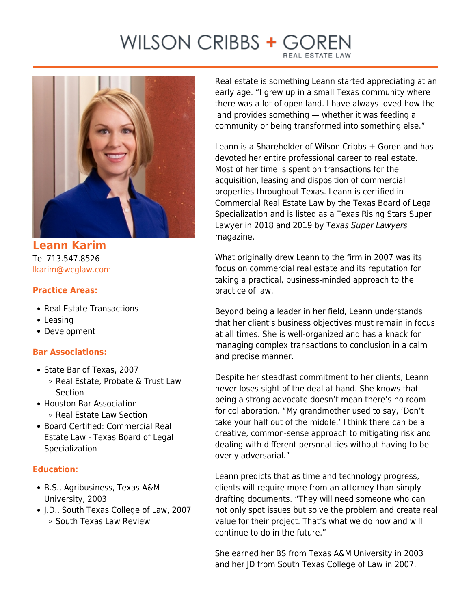## WILSON CRIBBS + GO



**Leann Karim** Tel 713.547.8526 [lkarim@wcglaw.com](mailto:lkarim@wcglaw.com)

## **Practice Areas:**

- Real Estate Transactions
- Leasing
- Development

## **Bar Associations:**

- State Bar of Texas, 2007 ○ Real Estate, Probate & Trust Law Section
- Houston Bar Association ○ Real Estate Law Section
- Board Certified: Commercial Real Estate Law - Texas Board of Legal Specialization

## **Education:**

- B.S., Agribusiness, Texas A&M University, 2003
- J.D., South Texas College of Law, 2007 ○ South Texas Law Review

Real estate is something Leann started appreciating at an early age. "I grew up in a small Texas community where there was a lot of open land. I have always loved how the land provides something — whether it was feeding a community or being transformed into something else."

Leann is a Shareholder of Wilson Cribbs + Goren and has devoted her entire professional career to real estate. Most of her time is spent on transactions for the acquisition, leasing and disposition of commercial properties throughout Texas. Leann is certified in Commercial Real Estate Law by the Texas Board of Legal Specialization and is listed as a Texas Rising Stars Super Lawyer in 2018 and 2019 by Texas Super Lawyers magazine.

What originally drew Leann to the firm in 2007 was its focus on commercial real estate and its reputation for taking a practical, business-minded approach to the practice of law.

Beyond being a leader in her field, Leann understands that her client's business objectives must remain in focus at all times. She is well-organized and has a knack for managing complex transactions to conclusion in a calm and precise manner.

Despite her steadfast commitment to her clients, Leann never loses sight of the deal at hand. She knows that being a strong advocate doesn't mean there's no room for collaboration. "My grandmother used to say, 'Don't take your half out of the middle.' I think there can be a creative, common-sense approach to mitigating risk and dealing with different personalities without having to be overly adversarial."

Leann predicts that as time and technology progress, clients will require more from an attorney than simply drafting documents. "They will need someone who can not only spot issues but solve the problem and create real value for their project. That's what we do now and will continue to do in the future."

She earned her BS from Texas A&M University in 2003 and her JD from South Texas College of Law in 2007.